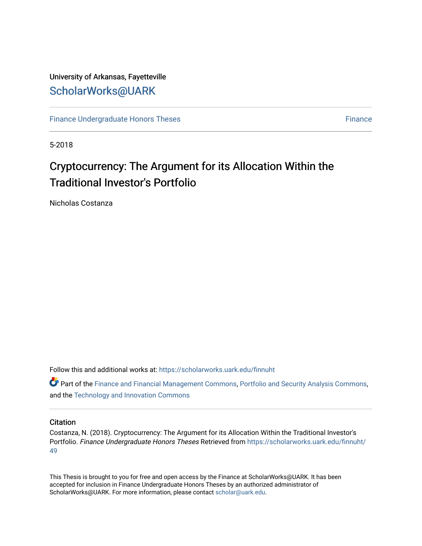## University of Arkansas, Fayetteville [ScholarWorks@UARK](https://scholarworks.uark.edu/)

[Finance Undergraduate Honors Theses](https://scholarworks.uark.edu/finnuht) [Finance](https://scholarworks.uark.edu/finn) **Finance Finance** 

5-2018

# Cryptocurrency: The Argument for its Allocation Within the **Traditional Investor's Portfolio**

Nicholas Costanza

Follow this and additional works at: [https://scholarworks.uark.edu/finnuht](https://scholarworks.uark.edu/finnuht?utm_source=scholarworks.uark.edu%2Ffinnuht%2F49&utm_medium=PDF&utm_campaign=PDFCoverPages)

**P** Part of the [Finance and Financial Management Commons,](http://network.bepress.com/hgg/discipline/631?utm_source=scholarworks.uark.edu%2Ffinnuht%2F49&utm_medium=PDF&utm_campaign=PDFCoverPages) [Portfolio and Security Analysis Commons](http://network.bepress.com/hgg/discipline/640?utm_source=scholarworks.uark.edu%2Ffinnuht%2F49&utm_medium=PDF&utm_campaign=PDFCoverPages), and the [Technology and Innovation Commons](http://network.bepress.com/hgg/discipline/644?utm_source=scholarworks.uark.edu%2Ffinnuht%2F49&utm_medium=PDF&utm_campaign=PDFCoverPages)

#### **Citation**

Costanza, N. (2018). Cryptocurrency: The Argument for its Allocation Within the Traditional Investor's Portfolio. Finance Undergraduate Honors Theses Retrieved from [https://scholarworks.uark.edu/finnuht/](https://scholarworks.uark.edu/finnuht/49?utm_source=scholarworks.uark.edu%2Ffinnuht%2F49&utm_medium=PDF&utm_campaign=PDFCoverPages) [49](https://scholarworks.uark.edu/finnuht/49?utm_source=scholarworks.uark.edu%2Ffinnuht%2F49&utm_medium=PDF&utm_campaign=PDFCoverPages)

This Thesis is brought to you for free and open access by the Finance at ScholarWorks@UARK. It has been accepted for inclusion in Finance Undergraduate Honors Theses by an authorized administrator of ScholarWorks@UARK. For more information, please contact [scholar@uark.edu](mailto:scholar@uark.edu).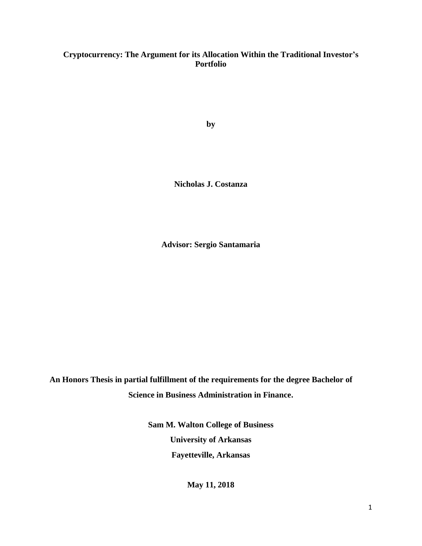## **Cryptocurrency: The Argument for its Allocation Within the Traditional Investor's Portfolio**

**by**

**Nicholas J. Costanza**

**Advisor: Sergio Santamaria**

**An Honors Thesis in partial fulfillment of the requirements for the degree Bachelor of Science in Business Administration in Finance.**

> **Sam M. Walton College of Business University of Arkansas Fayetteville, Arkansas**

> > **May 11, 2018**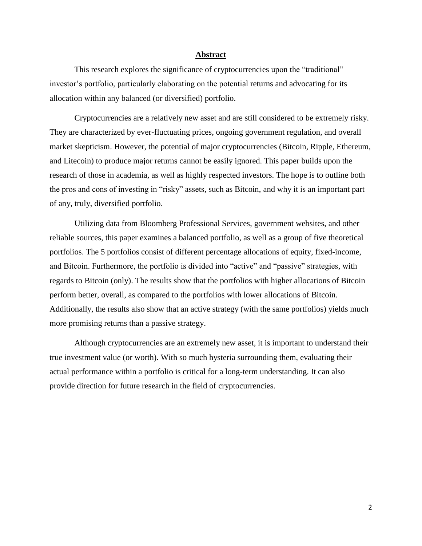#### **Abstract**

This research explores the significance of cryptocurrencies upon the "traditional" investor's portfolio, particularly elaborating on the potential returns and advocating for its allocation within any balanced (or diversified) portfolio.

Cryptocurrencies are a relatively new asset and are still considered to be extremely risky. They are characterized by ever-fluctuating prices, ongoing government regulation, and overall market skepticism. However, the potential of major cryptocurrencies (Bitcoin, Ripple, Ethereum, and Litecoin) to produce major returns cannot be easily ignored. This paper builds upon the research of those in academia, as well as highly respected investors. The hope is to outline both the pros and cons of investing in "risky" assets, such as Bitcoin, and why it is an important part of any, truly, diversified portfolio.

Utilizing data from Bloomberg Professional Services, government websites, and other reliable sources, this paper examines a balanced portfolio, as well as a group of five theoretical portfolios. The 5 portfolios consist of different percentage allocations of equity, fixed-income, and Bitcoin. Furthermore, the portfolio is divided into "active" and "passive" strategies, with regards to Bitcoin (only). The results show that the portfolios with higher allocations of Bitcoin perform better, overall, as compared to the portfolios with lower allocations of Bitcoin. Additionally, the results also show that an active strategy (with the same portfolios) yields much more promising returns than a passive strategy.

Although cryptocurrencies are an extremely new asset, it is important to understand their true investment value (or worth). With so much hysteria surrounding them, evaluating their actual performance within a portfolio is critical for a long-term understanding. It can also provide direction for future research in the field of cryptocurrencies.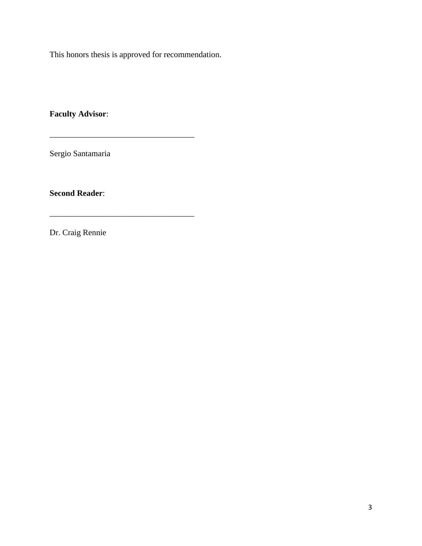This honors thesis is approved for recommendation.

\_\_\_\_\_\_\_\_\_\_\_\_\_\_\_\_\_\_\_\_\_\_\_\_\_\_\_\_\_\_\_\_\_\_\_

**Faculty Advisor**:

Sergio Santamaria

**Second Reader**:

Dr. Craig Rennie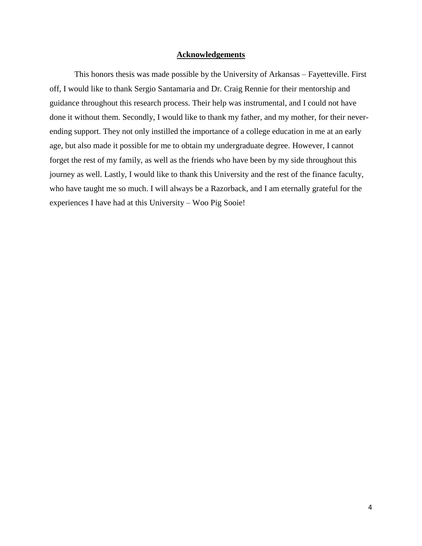#### **Acknowledgements**

This honors thesis was made possible by the University of Arkansas – Fayetteville. First off, I would like to thank Sergio Santamaria and Dr. Craig Rennie for their mentorship and guidance throughout this research process. Their help was instrumental, and I could not have done it without them. Secondly, I would like to thank my father, and my mother, for their neverending support. They not only instilled the importance of a college education in me at an early age, but also made it possible for me to obtain my undergraduate degree. However, I cannot forget the rest of my family, as well as the friends who have been by my side throughout this journey as well. Lastly, I would like to thank this University and the rest of the finance faculty, who have taught me so much. I will always be a Razorback, and I am eternally grateful for the experiences I have had at this University – Woo Pig Sooie!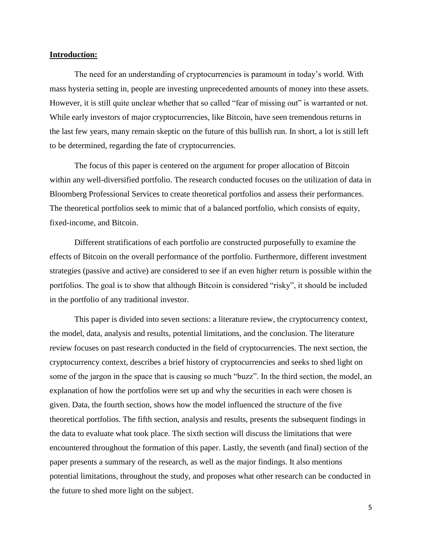#### **Introduction:**

The need for an understanding of cryptocurrencies is paramount in today's world. With mass hysteria setting in, people are investing unprecedented amounts of money into these assets. However, it is still quite unclear whether that so called "fear of missing out" is warranted or not. While early investors of major cryptocurrencies, like Bitcoin, have seen tremendous returns in the last few years, many remain skeptic on the future of this bullish run. In short, a lot is still left to be determined, regarding the fate of cryptocurrencies.

The focus of this paper is centered on the argument for proper allocation of Bitcoin within any well-diversified portfolio. The research conducted focuses on the utilization of data in Bloomberg Professional Services to create theoretical portfolios and assess their performances. The theoretical portfolios seek to mimic that of a balanced portfolio, which consists of equity, fixed-income, and Bitcoin.

Different stratifications of each portfolio are constructed purposefully to examine the effects of Bitcoin on the overall performance of the portfolio. Furthermore, different investment strategies (passive and active) are considered to see if an even higher return is possible within the portfolios. The goal is to show that although Bitcoin is considered "risky", it should be included in the portfolio of any traditional investor.

This paper is divided into seven sections: a literature review, the cryptocurrency context, the model, data, analysis and results, potential limitations, and the conclusion. The literature review focuses on past research conducted in the field of cryptocurrencies. The next section, the cryptocurrency context, describes a brief history of cryptocurrencies and seeks to shed light on some of the jargon in the space that is causing so much "buzz". In the third section, the model, an explanation of how the portfolios were set up and why the securities in each were chosen is given. Data, the fourth section, shows how the model influenced the structure of the five theoretical portfolios. The fifth section, analysis and results, presents the subsequent findings in the data to evaluate what took place. The sixth section will discuss the limitations that were encountered throughout the formation of this paper. Lastly, the seventh (and final) section of the paper presents a summary of the research, as well as the major findings. It also mentions potential limitations, throughout the study, and proposes what other research can be conducted in the future to shed more light on the subject.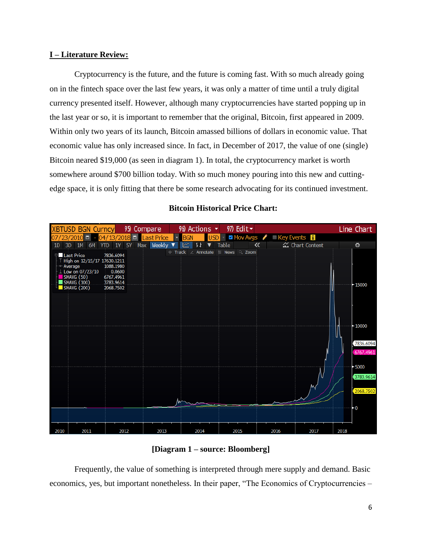### **I – Literature Review:**

Cryptocurrency is the future, and the future is coming fast. With so much already going on in the fintech space over the last few years, it was only a matter of time until a truly digital currency presented itself. However, although many cryptocurrencies have started popping up in the last year or so, it is important to remember that the original, Bitcoin, first appeared in 2009. Within only two years of its launch, Bitcoin amassed billions of dollars in economic value. That economic value has only increased since. In fact, in December of 2017, the value of one (single) Bitcoin neared \$19,000 (as seen in diagram 1). In total, the cryptocurrency market is worth somewhere around \$700 billion today. With so much money pouring into this new and cuttingedge space, it is only fitting that there be some research advocating for its continued investment.



## **Bitcoin Historical Price Chart:**

## **[Diagram 1 – source: Bloomberg]**

Frequently, the value of something is interpreted through mere supply and demand. Basic economics, yes, but important nonetheless. In their paper, "The Economics of Cryptocurrencies –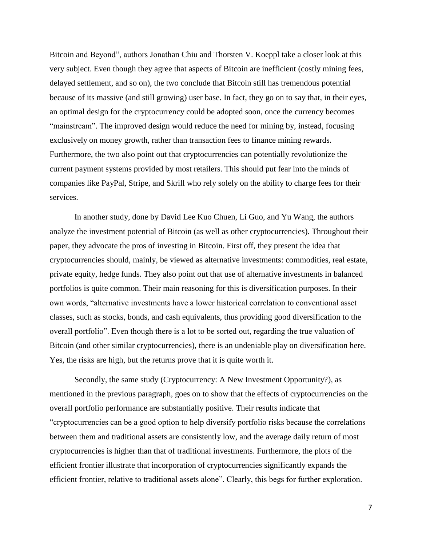Bitcoin and Beyond", authors Jonathan Chiu and Thorsten V. Koeppl take a closer look at this very subject. Even though they agree that aspects of Bitcoin are inefficient (costly mining fees, delayed settlement, and so on), the two conclude that Bitcoin still has tremendous potential because of its massive (and still growing) user base. In fact, they go on to say that, in their eyes, an optimal design for the cryptocurrency could be adopted soon, once the currency becomes "mainstream". The improved design would reduce the need for mining by, instead, focusing exclusively on money growth, rather than transaction fees to finance mining rewards. Furthermore, the two also point out that cryptocurrencies can potentially revolutionize the current payment systems provided by most retailers. This should put fear into the minds of companies like PayPal, Stripe, and Skrill who rely solely on the ability to charge fees for their services.

In another study, done by David Lee Kuo Chuen, Li Guo, and Yu Wang, the authors analyze the investment potential of Bitcoin (as well as other cryptocurrencies). Throughout their paper, they advocate the pros of investing in Bitcoin. First off, they present the idea that cryptocurrencies should, mainly, be viewed as alternative investments: commodities, real estate, private equity, hedge funds. They also point out that use of alternative investments in balanced portfolios is quite common. Their main reasoning for this is diversification purposes. In their own words, "alternative investments have a lower historical correlation to conventional asset classes, such as stocks, bonds, and cash equivalents, thus providing good diversification to the overall portfolio". Even though there is a lot to be sorted out, regarding the true valuation of Bitcoin (and other similar cryptocurrencies), there is an undeniable play on diversification here. Yes, the risks are high, but the returns prove that it is quite worth it.

Secondly, the same study (Cryptocurrency: A New Investment Opportunity?), as mentioned in the previous paragraph, goes on to show that the effects of cryptocurrencies on the overall portfolio performance are substantially positive. Their results indicate that "cryptocurrencies can be a good option to help diversify portfolio risks because the correlations between them and traditional assets are consistently low, and the average daily return of most cryptocurrencies is higher than that of traditional investments. Furthermore, the plots of the efficient frontier illustrate that incorporation of cryptocurrencies significantly expands the efficient frontier, relative to traditional assets alone". Clearly, this begs for further exploration.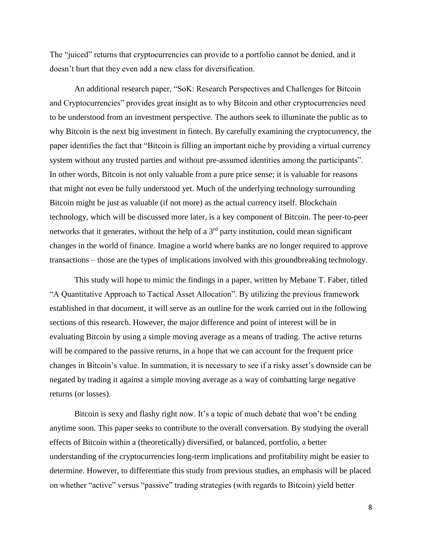The "juiced" returns that cryptocurrencies can provide to a portfolio cannot be denied, and it doesn't hurt that they even add a new class for diversification.

An additional research paper, "SoK: Research Perspectives and Challenges for Bitcoin and Cryptocurrencies" provides great insight as to why Bitcoin and other cryptocurrencies need to be understood from an investment perspective. The authors seek to illuminate the public as to why Bitcoin is the next big investment in fintech. By carefully examining the cryptocurrency, the paper identifies the fact that "Bitcoin is filling an important niche by providing a virtual currency system without any trusted parties and without pre-assumed identities among the participants". In other words, Bitcoin is not only valuable from a pure price sense; it is valuable for reasons that might not even be fully understood yet. Much of the underlying technology surrounding Bitcoin might be just as valuable (if not more) as the actual currency itself. Blockchain technology, which will be discussed more later, is a key component of Bitcoin. The peer-to-peer networks that it generates, without the help of a  $3<sup>rd</sup>$  party institution, could mean significant changes in the world of finance. Imagine a world where banks are no longer required to approve transactions – those are the types of implications involved with this groundbreaking technology.

This study will hope to mimic the findings in a paper, written by Mebane T. Faber, titled "A Quantitative Approach to Tactical Asset Allocation". By utilizing the previous framework established in that document, it will serve as an outline for the work carried out in the following sections of this research. However, the major difference and point of interest will be in evaluating Bitcoin by using a simple moving average as a means of trading. The active returns will be compared to the passive returns, in a hope that we can account for the frequent price changes in Bitcoin's value. In summation, it is necessary to see if a risky asset's downside can be negated by trading it against a simple moving average as a way of combatting large negative returns (or losses).

Bitcoin is sexy and flashy right now. It's a topic of much debate that won't be ending anytime soon. This paper seeks to contribute to the overall conversation. By studying the overall effects of Bitcoin within a (theoretically) diversified, or balanced, portfolio, a better understanding of the cryptocurrencies long-term implications and profitability might be easier to determine. However, to differentiate this study from previous studies, an emphasis will be placed on whether "active" versus "passive" trading strategies (with regards to Bitcoin) yield better

8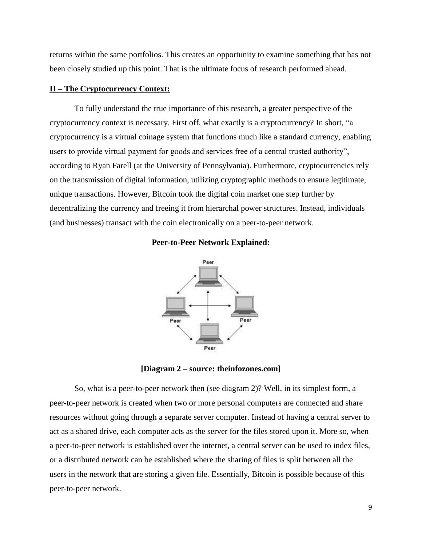returns within the same portfolios. This creates an opportunity to examine something that has not been closely studied up this point. That is the ultimate focus of research performed ahead.

#### **II – The Cryptocurrency Context:**

To fully understand the true importance of this research, a greater perspective of the cryptocurrency context is necessary. First off, what exactly is a cryptocurrency? In short, "a cryptocurrency is a virtual coinage system that functions much like a standard currency, enabling users to provide virtual payment for goods and services free of a central trusted authority", according to Ryan Farell (at the University of Pennsylvania). Furthermore, cryptocurrencies rely on the transmission of digital information, utilizing cryptographic methods to ensure legitimate, unique transactions. However, Bitcoin took the digital coin market one step further by decentralizing the currency and freeing it from hierarchal power structures. Instead, individuals (and businesses) transact with the coin electronically on a peer-to-peer network.

#### **Peer-to-Peer Network Explained:**



**[Diagram 2 – source: theinfozones.com]**

So, what is a peer-to-peer network then (see diagram 2)? Well, in its simplest form, a peer-to-peer network is created when two or more personal computers are connected and share resources without going through a separate server computer. Instead of having a central server to act as a shared drive, each computer acts as the server for the files stored upon it. More so, when a peer-to-peer network is established over the internet, a central server can be used to index files, or a distributed network can be established where the sharing of files is split between all the users in the network that are storing a given file. Essentially, Bitcoin is possible because of this peer-to-peer network.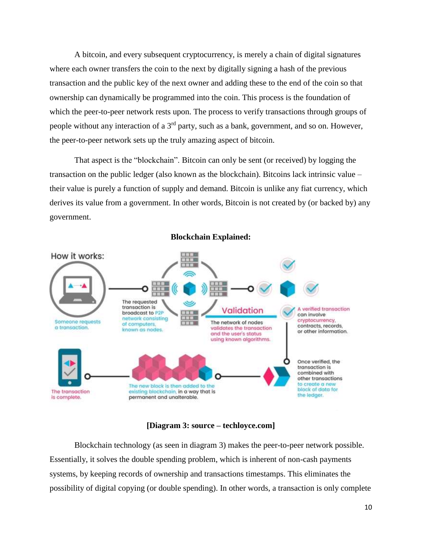A bitcoin, and every subsequent cryptocurrency, is merely a chain of digital signatures where each owner transfers the coin to the next by digitally signing a hash of the previous transaction and the public key of the next owner and adding these to the end of the coin so that ownership can dynamically be programmed into the coin. This process is the foundation of which the peer-to-peer network rests upon. The process to verify transactions through groups of people without any interaction of a  $3<sup>rd</sup>$  party, such as a bank, government, and so on. However, the peer-to-peer network sets up the truly amazing aspect of bitcoin.

That aspect is the "blockchain". Bitcoin can only be sent (or received) by logging the transaction on the public ledger (also known as the blockchain). Bitcoins lack intrinsic value – their value is purely a function of supply and demand. Bitcoin is unlike any fiat currency, which derives its value from a government. In other words, Bitcoin is not created by (or backed by) any government.



#### **Blockchain Explained:**

#### **[Diagram 3: source – techloyce.com]**

Blockchain technology (as seen in diagram 3) makes the peer-to-peer network possible. Essentially, it solves the double spending problem, which is inherent of non-cash payments systems, by keeping records of ownership and transactions timestamps. This eliminates the possibility of digital copying (or double spending). In other words, a transaction is only complete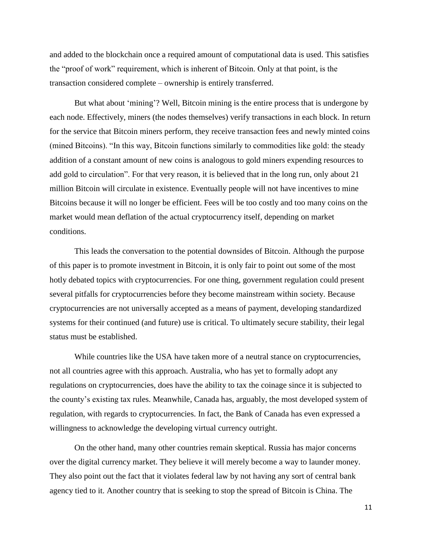and added to the blockchain once a required amount of computational data is used. This satisfies the "proof of work" requirement, which is inherent of Bitcoin. Only at that point, is the transaction considered complete – ownership is entirely transferred.

But what about 'mining'? Well, Bitcoin mining is the entire process that is undergone by each node. Effectively, miners (the nodes themselves) verify transactions in each block. In return for the service that Bitcoin miners perform, they receive transaction fees and newly minted coins (mined Bitcoins). "In this way, Bitcoin functions similarly to commodities like gold: the steady addition of a constant amount of new coins is analogous to gold miners expending resources to add gold to circulation". For that very reason, it is believed that in the long run, only about 21 million Bitcoin will circulate in existence. Eventually people will not have incentives to mine Bitcoins because it will no longer be efficient. Fees will be too costly and too many coins on the market would mean deflation of the actual cryptocurrency itself, depending on market conditions.

This leads the conversation to the potential downsides of Bitcoin. Although the purpose of this paper is to promote investment in Bitcoin, it is only fair to point out some of the most hotly debated topics with cryptocurrencies. For one thing, government regulation could present several pitfalls for cryptocurrencies before they become mainstream within society. Because cryptocurrencies are not universally accepted as a means of payment, developing standardized systems for their continued (and future) use is critical. To ultimately secure stability, their legal status must be established.

While countries like the USA have taken more of a neutral stance on cryptocurrencies, not all countries agree with this approach. Australia, who has yet to formally adopt any regulations on cryptocurrencies, does have the ability to tax the coinage since it is subjected to the county's existing tax rules. Meanwhile, Canada has, arguably, the most developed system of regulation, with regards to cryptocurrencies. In fact, the Bank of Canada has even expressed a willingness to acknowledge the developing virtual currency outright.

On the other hand, many other countries remain skeptical. Russia has major concerns over the digital currency market. They believe it will merely become a way to launder money. They also point out the fact that it violates federal law by not having any sort of central bank agency tied to it. Another country that is seeking to stop the spread of Bitcoin is China. The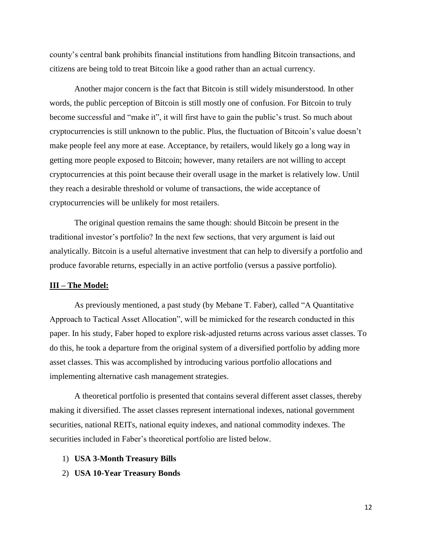county's central bank prohibits financial institutions from handling Bitcoin transactions, and citizens are being told to treat Bitcoin like a good rather than an actual currency.

Another major concern is the fact that Bitcoin is still widely misunderstood. In other words, the public perception of Bitcoin is still mostly one of confusion. For Bitcoin to truly become successful and "make it", it will first have to gain the public's trust. So much about cryptocurrencies is still unknown to the public. Plus, the fluctuation of Bitcoin's value doesn't make people feel any more at ease. Acceptance, by retailers, would likely go a long way in getting more people exposed to Bitcoin; however, many retailers are not willing to accept cryptocurrencies at this point because their overall usage in the market is relatively low. Until they reach a desirable threshold or volume of transactions, the wide acceptance of cryptocurrencies will be unlikely for most retailers.

The original question remains the same though: should Bitcoin be present in the traditional investor's portfolio? In the next few sections, that very argument is laid out analytically. Bitcoin is a useful alternative investment that can help to diversify a portfolio and produce favorable returns, especially in an active portfolio (versus a passive portfolio).

#### **III – The Model:**

As previously mentioned, a past study (by Mebane T. Faber), called "A Quantitative Approach to Tactical Asset Allocation", will be mimicked for the research conducted in this paper. In his study, Faber hoped to explore risk-adjusted returns across various asset classes. To do this, he took a departure from the original system of a diversified portfolio by adding more asset classes. This was accomplished by introducing various portfolio allocations and implementing alternative cash management strategies.

A theoretical portfolio is presented that contains several different asset classes, thereby making it diversified. The asset classes represent international indexes, national government securities, national REITs, national equity indexes, and national commodity indexes. The securities included in Faber's theoretical portfolio are listed below.

- 1) **USA 3-Month Treasury Bills**
- 2) **USA 10-Year Treasury Bonds**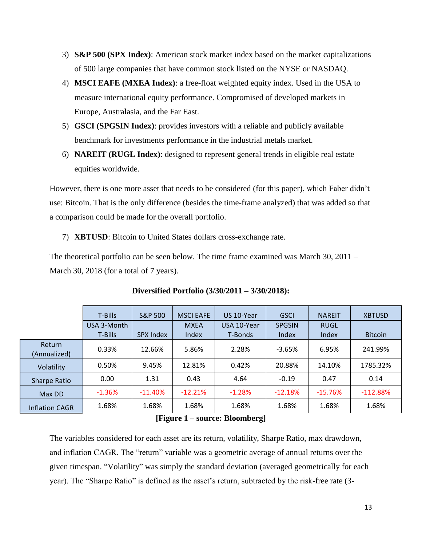- 3) **S&P 500 (SPX Index)**: American stock market index based on the market capitalizations of 500 large companies that have common stock listed on the NYSE or NASDAQ.
- 4) **MSCI EAFE (MXEA Index)**: a free-float weighted equity index. Used in the USA to measure international equity performance. Compromised of developed markets in Europe, Australasia, and the Far East.
- 5) **GSCI (SPGSIN Index)**: provides investors with a reliable and publicly available benchmark for investments performance in the industrial metals market.
- 6) **NAREIT (RUGL Index)**: designed to represent general trends in eligible real estate equities worldwide.

However, there is one more asset that needs to be considered (for this paper), which Faber didn't use: Bitcoin. That is the only difference (besides the time-frame analyzed) that was added so that a comparison could be made for the overall portfolio.

7) **XBTUSD**: Bitcoin to United States dollars cross-exchange rate.

The theoretical portfolio can be seen below. The time frame examined was March 30, 2011 – March 30, 2018 (for a total of 7 years).

|                        | T-Bills     | <b>S&amp;P 500</b> | <b>MSCI EAFE</b> | US 10-Year  | <b>GSCI</b>   | <b>NAREIT</b> | <b>XBTUSD</b>  |
|------------------------|-------------|--------------------|------------------|-------------|---------------|---------------|----------------|
|                        | USA 3-Month |                    | <b>MXEA</b>      | USA 10-Year | <b>SPGSIN</b> | <b>RUGL</b>   |                |
|                        | T-Bills     | SPX Index          | Index            | T-Bonds     | Index         | Index         | <b>Bitcoin</b> |
| Return<br>(Annualized) | 0.33%       | 12.66%             | 5.86%            | 2.28%       | $-3.65%$      | 6.95%         | 241.99%        |
| Volatility             | 0.50%       | 9.45%              | 12.81%           | 0.42%       | 20.88%        | 14.10%        | 1785.32%       |
| Sharpe Ratio           | 0.00        | 1.31               | 0.43             | 4.64        | $-0.19$       | 0.47          | 0.14           |
| Max DD                 | $-1.36%$    | $-11.40%$          | $-12.21%$        | $-1.28%$    | $-12.18%$     | $-15.76%$     | $-112.88%$     |
| <b>Inflation CAGR</b>  | 1.68%       | 1.68%              | 1.68%            | 1.68%       | 1.68%         | 1.68%         | 1.68%          |

**Diversified Portfolio (3/30/2011 – 3/30/2018):**

**[Figure 1 – source: Bloomberg]**

The variables considered for each asset are its return, volatility, Sharpe Ratio, max drawdown, and inflation CAGR. The "return" variable was a geometric average of annual returns over the given timespan. "Volatility" was simply the standard deviation (averaged geometrically for each year). The "Sharpe Ratio" is defined as the asset's return, subtracted by the risk-free rate (3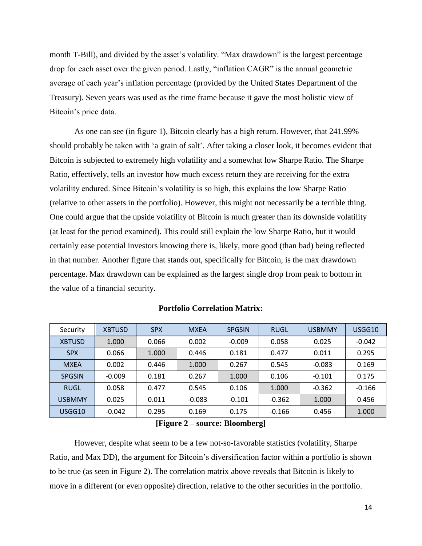month T-Bill), and divided by the asset's volatility. "Max drawdown" is the largest percentage drop for each asset over the given period. Lastly, "inflation CAGR" is the annual geometric average of each year's inflation percentage (provided by the United States Department of the Treasury). Seven years was used as the time frame because it gave the most holistic view of Bitcoin's price data.

As one can see (in figure 1), Bitcoin clearly has a high return. However, that 241.99% should probably be taken with 'a grain of salt'. After taking a closer look, it becomes evident that Bitcoin is subjected to extremely high volatility and a somewhat low Sharpe Ratio. The Sharpe Ratio, effectively, tells an investor how much excess return they are receiving for the extra volatility endured. Since Bitcoin's volatility is so high, this explains the low Sharpe Ratio (relative to other assets in the portfolio). However, this might not necessarily be a terrible thing. One could argue that the upside volatility of Bitcoin is much greater than its downside volatility (at least for the period examined). This could still explain the low Sharpe Ratio, but it would certainly ease potential investors knowing there is, likely, more good (than bad) being reflected in that number. Another figure that stands out, specifically for Bitcoin, is the max drawdown percentage. Max drawdown can be explained as the largest single drop from peak to bottom in the value of a financial security.

| Security      | <b>XBTUSD</b> | <b>SPX</b> | <b>MXEA</b> | <b>SPGSIN</b> | RUGL     | <b>USBMMY</b> | USGG10   |
|---------------|---------------|------------|-------------|---------------|----------|---------------|----------|
| <b>XBTUSD</b> | 1.000         | 0.066      | 0.002       | $-0.009$      | 0.058    | 0.025         | $-0.042$ |
| <b>SPX</b>    | 0.066         | 1.000      | 0.446       | 0.181         | 0.477    | 0.011         | 0.295    |
| <b>MXEA</b>   | 0.002         | 0.446      | 1.000       | 0.267         | 0.545    | $-0.083$      | 0.169    |
| <b>SPGSIN</b> | $-0.009$      | 0.181      | 0.267       | 1.000         | 0.106    | $-0.101$      | 0.175    |
| RUGL          | 0.058         | 0.477      | 0.545       | 0.106         | 1.000    | $-0.362$      | $-0.166$ |
| <b>USBMMY</b> | 0.025         | 0.011      | $-0.083$    | $-0.101$      | $-0.362$ | 1.000         | 0.456    |
| USGG10        | $-0.042$      | 0.295      | 0.169       | 0.175         | $-0.166$ | 0.456         | 1.000    |

**Portfolio Correlation Matrix:**

#### **[Figure 2 – source: Bloomberg]**

However, despite what seem to be a few not-so-favorable statistics (volatility, Sharpe Ratio, and Max DD), the argument for Bitcoin's diversification factor within a portfolio is shown to be true (as seen in Figure 2). The correlation matrix above reveals that Bitcoin is likely to move in a different (or even opposite) direction, relative to the other securities in the portfolio.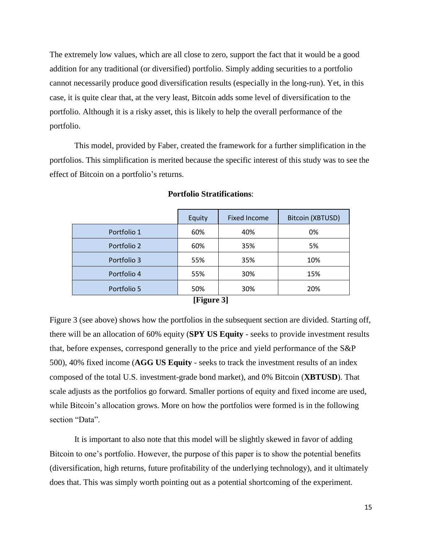The extremely low values, which are all close to zero, support the fact that it would be a good addition for any traditional (or diversified) portfolio. Simply adding securities to a portfolio cannot necessarily produce good diversification results (especially in the long-run). Yet, in this case, it is quite clear that, at the very least, Bitcoin adds some level of diversification to the portfolio. Although it is a risky asset, this is likely to help the overall performance of the portfolio.

This model, provided by Faber, created the framework for a further simplification in the portfolios. This simplification is merited because the specific interest of this study was to see the effect of Bitcoin on a portfolio's returns.

|             | Equity | <b>Fixed Income</b> | Bitcoin (XBTUSD) |  |  |  |  |  |  |
|-------------|--------|---------------------|------------------|--|--|--|--|--|--|
| Portfolio 1 | 60%    | 40%                 | 0%               |  |  |  |  |  |  |
| Portfolio 2 | 60%    | 35%                 | 5%               |  |  |  |  |  |  |
| Portfolio 3 | 55%    | 35%                 | 10%              |  |  |  |  |  |  |
| Portfolio 4 | 55%    | 30%                 | 15%              |  |  |  |  |  |  |
| Portfolio 5 | 50%    | 30%                 | 20%              |  |  |  |  |  |  |
| [Figure 3]  |        |                     |                  |  |  |  |  |  |  |

#### **Portfolio Stratifications**:

Figure 3 (see above) shows how the portfolios in the subsequent section are divided. Starting off, there will be an allocation of 60% equity (**SPY US Equity** - seeks to provide investment results that, before expenses, correspond generally to the price and yield performance of the S&P 500), 40% fixed income (**AGG US Equity** - seeks to track the investment results of an index composed of the total U.S. investment-grade bond market), and 0% Bitcoin (**XBTUSD**). That scale adjusts as the portfolios go forward. Smaller portions of equity and fixed income are used, while Bitcoin's allocation grows. More on how the portfolios were formed is in the following section "Data".

It is important to also note that this model will be slightly skewed in favor of adding Bitcoin to one's portfolio. However, the purpose of this paper is to show the potential benefits (diversification, high returns, future profitability of the underlying technology), and it ultimately does that. This was simply worth pointing out as a potential shortcoming of the experiment.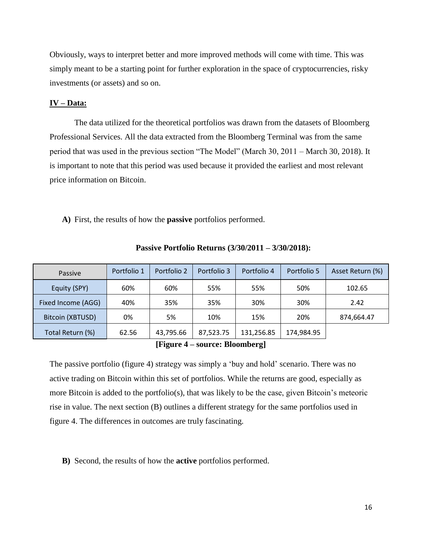Obviously, ways to interpret better and more improved methods will come with time. This was simply meant to be a starting point for further exploration in the space of cryptocurrencies, risky investments (or assets) and so on.

#### **IV – Data:**

The data utilized for the theoretical portfolios was drawn from the datasets of Bloomberg Professional Services. All the data extracted from the Bloomberg Terminal was from the same period that was used in the previous section "The Model" (March 30, 2011 – March 30, 2018). It is important to note that this period was used because it provided the earliest and most relevant price information on Bitcoin.

**A)** First, the results of how the **passive** portfolios performed.

| Passive            | Portfolio 1 | Portfolio 2 | Portfolio 3 | Portfolio 4 | Portfolio 5 | Asset Return (%) |
|--------------------|-------------|-------------|-------------|-------------|-------------|------------------|
| Equity (SPY)       | 60%         | 60%         | 55%         | 55%         | 50%         | 102.65           |
| Fixed Income (AGG) | 40%         | 35%         | 35%         | 30%         | 30%         | 2.42             |
| Bitcoin (XBTUSD)   | 0%          | 5%          | 10%         | 15%         | 20%         | 874,664.47       |
| Total Return (%)   | 62.56       | 43,795.66   | 87,523.75   | 131,256.85  | 174,984.95  |                  |

**Passive Portfolio Returns (3/30/2011 – 3/30/2018):**

**[Figure 4 – source: Bloomberg]**

The passive portfolio (figure 4) strategy was simply a 'buy and hold' scenario. There was no active trading on Bitcoin within this set of portfolios. While the returns are good, especially as more Bitcoin is added to the portfolio(s), that was likely to be the case, given Bitcoin's meteoric rise in value. The next section (B) outlines a different strategy for the same portfolios used in figure 4. The differences in outcomes are truly fascinating.

#### **B)** Second, the results of how the **active** portfolios performed.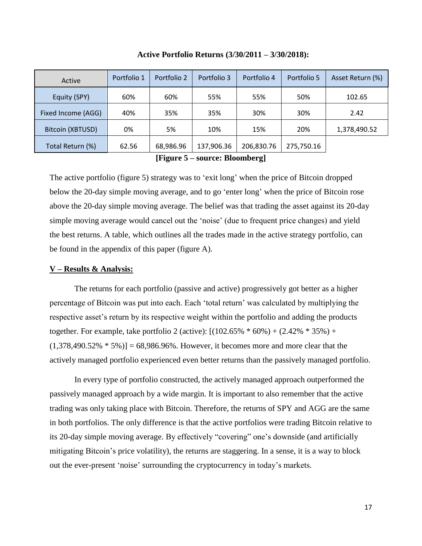| Active             | Portfolio 1 | Portfolio 2 | Portfolio 3 | Portfolio 4 | Portfolio 5 | Asset Return (%) |
|--------------------|-------------|-------------|-------------|-------------|-------------|------------------|
| Equity (SPY)       | 60%         | 60%         | 55%         | 55%         | 50%         | 102.65           |
| Fixed Income (AGG) | 40%         | 35%         | 35%         | 30%         | 30%         | 2.42             |
| Bitcoin (XBTUSD)   | 0%          | 5%          | 10%         | 15%         | 20%         | 1,378,490.52     |
| Total Return (%)   | 62.56       | 68,986.96   | 137,906.36  | 206,830.76  | 275,750.16  |                  |

**Active Portfolio Returns (3/30/2011 – 3/30/2018):**

**[Figure 5 – source: Bloomberg]**

The active portfolio (figure 5) strategy was to 'exit long' when the price of Bitcoin dropped below the 20-day simple moving average, and to go 'enter long' when the price of Bitcoin rose above the 20-day simple moving average. The belief was that trading the asset against its 20-day simple moving average would cancel out the 'noise' (due to frequent price changes) and yield the best returns. A table, which outlines all the trades made in the active strategy portfolio, can be found in the appendix of this paper (figure A).

#### **V – Results & Analysis:**

The returns for each portfolio (passive and active) progressively got better as a higher percentage of Bitcoin was put into each. Each 'total return' was calculated by multiplying the respective asset's return by its respective weight within the portfolio and adding the products together. For example, take portfolio 2 (active):  $[(102.65\% * 60\%) + (2.42\% * 35\%) +$  $(1,378,490.52\% * 5\%)$  = 68,986.96%. However, it becomes more and more clear that the actively managed portfolio experienced even better returns than the passively managed portfolio.

In every type of portfolio constructed, the actively managed approach outperformed the passively managed approach by a wide margin. It is important to also remember that the active trading was only taking place with Bitcoin. Therefore, the returns of SPY and AGG are the same in both portfolios. The only difference is that the active portfolios were trading Bitcoin relative to its 20-day simple moving average. By effectively "covering" one's downside (and artificially mitigating Bitcoin's price volatility), the returns are staggering. In a sense, it is a way to block out the ever-present 'noise' surrounding the cryptocurrency in today's markets.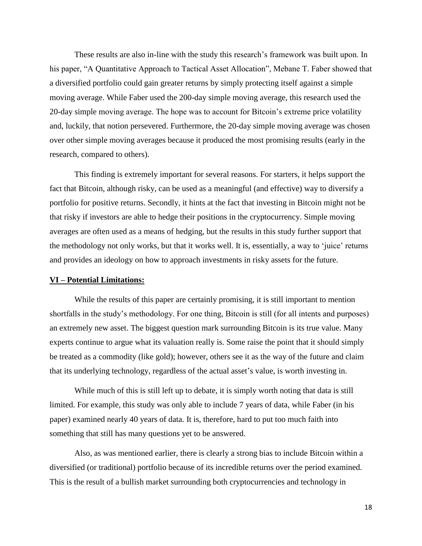These results are also in-line with the study this research's framework was built upon. In his paper, "A Quantitative Approach to Tactical Asset Allocation", Mebane T. Faber showed that a diversified portfolio could gain greater returns by simply protecting itself against a simple moving average. While Faber used the 200-day simple moving average, this research used the 20-day simple moving average. The hope was to account for Bitcoin's extreme price volatility and, luckily, that notion persevered. Furthermore, the 20-day simple moving average was chosen over other simple moving averages because it produced the most promising results (early in the research, compared to others).

This finding is extremely important for several reasons. For starters, it helps support the fact that Bitcoin, although risky, can be used as a meaningful (and effective) way to diversify a portfolio for positive returns. Secondly, it hints at the fact that investing in Bitcoin might not be that risky if investors are able to hedge their positions in the cryptocurrency. Simple moving averages are often used as a means of hedging, but the results in this study further support that the methodology not only works, but that it works well. It is, essentially, a way to 'juice' returns and provides an ideology on how to approach investments in risky assets for the future.

#### **VI – Potential Limitations:**

While the results of this paper are certainly promising, it is still important to mention shortfalls in the study's methodology. For one thing, Bitcoin is still (for all intents and purposes) an extremely new asset. The biggest question mark surrounding Bitcoin is its true value. Many experts continue to argue what its valuation really is. Some raise the point that it should simply be treated as a commodity (like gold); however, others see it as the way of the future and claim that its underlying technology, regardless of the actual asset's value, is worth investing in.

While much of this is still left up to debate, it is simply worth noting that data is still limited. For example, this study was only able to include 7 years of data, while Faber (in his paper) examined nearly 40 years of data. It is, therefore, hard to put too much faith into something that still has many questions yet to be answered.

Also, as was mentioned earlier, there is clearly a strong bias to include Bitcoin within a diversified (or traditional) portfolio because of its incredible returns over the period examined. This is the result of a bullish market surrounding both cryptocurrencies and technology in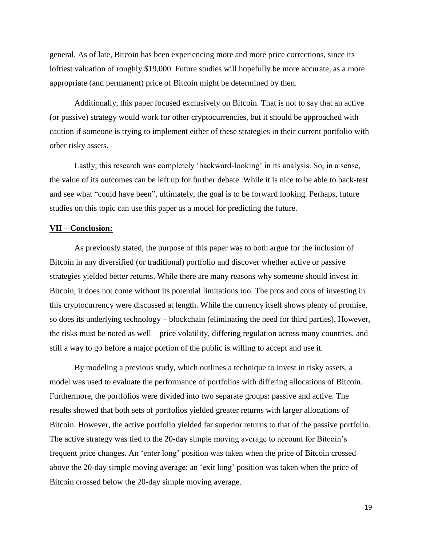general. As of late, Bitcoin has been experiencing more and more price corrections, since its loftiest valuation of roughly \$19,000. Future studies will hopefully be more accurate, as a more appropriate (and permanent) price of Bitcoin might be determined by then.

Additionally, this paper focused exclusively on Bitcoin. That is not to say that an active (or passive) strategy would work for other cryptocurrencies, but it should be approached with caution if someone is trying to implement either of these strategies in their current portfolio with other risky assets.

Lastly, this research was completely 'backward-looking' in its analysis. So, in a sense, the value of its outcomes can be left up for further debate. While it is nice to be able to back-test and see what "could have been", ultimately, the goal is to be forward looking. Perhaps, future studies on this topic can use this paper as a model for predicting the future.

#### **VII – Conclusion:**

As previously stated, the purpose of this paper was to both argue for the inclusion of Bitcoin in any diversified (or traditional) portfolio and discover whether active or passive strategies yielded better returns. While there are many reasons why someone should invest in Bitcoin, it does not come without its potential limitations too. The pros and cons of investing in this cryptocurrency were discussed at length. While the currency itself shows plenty of promise, so does its underlying technology – blockchain (eliminating the need for third parties). However, the risks must be noted as well – price volatility, differing regulation across many countries, and still a way to go before a major portion of the public is willing to accept and use it.

By modeling a previous study, which outlines a technique to invest in risky assets, a model was used to evaluate the performance of portfolios with differing allocations of Bitcoin. Furthermore, the portfolios were divided into two separate groups: passive and active. The results showed that both sets of portfolios yielded greater returns with larger allocations of Bitcoin. However, the active portfolio yielded far superior returns to that of the passive portfolio. The active strategy was tied to the 20-day simple moving average to account for Bitcoin's frequent price changes. An 'enter long' position was taken when the price of Bitcoin crossed above the 20-day simple moving average; an 'exit long' position was taken when the price of Bitcoin crossed below the 20-day simple moving average.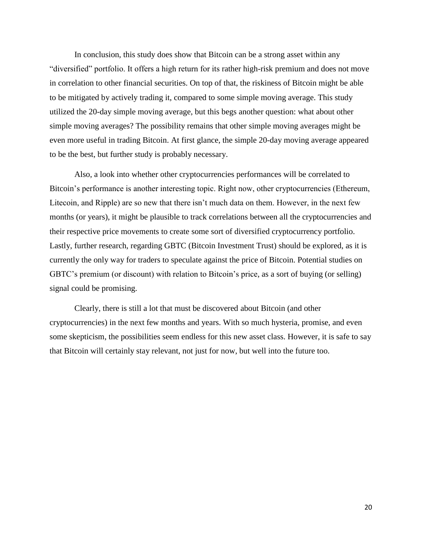In conclusion, this study does show that Bitcoin can be a strong asset within any "diversified" portfolio. It offers a high return for its rather high-risk premium and does not move in correlation to other financial securities. On top of that, the riskiness of Bitcoin might be able to be mitigated by actively trading it, compared to some simple moving average. This study utilized the 20-day simple moving average, but this begs another question: what about other simple moving averages? The possibility remains that other simple moving averages might be even more useful in trading Bitcoin. At first glance, the simple 20-day moving average appeared to be the best, but further study is probably necessary.

Also, a look into whether other cryptocurrencies performances will be correlated to Bitcoin's performance is another interesting topic. Right now, other cryptocurrencies (Ethereum, Litecoin, and Ripple) are so new that there isn't much data on them. However, in the next few months (or years), it might be plausible to track correlations between all the cryptocurrencies and their respective price movements to create some sort of diversified cryptocurrency portfolio. Lastly, further research, regarding GBTC (Bitcoin Investment Trust) should be explored, as it is currently the only way for traders to speculate against the price of Bitcoin. Potential studies on GBTC's premium (or discount) with relation to Bitcoin's price, as a sort of buying (or selling) signal could be promising.

Clearly, there is still a lot that must be discovered about Bitcoin (and other cryptocurrencies) in the next few months and years. With so much hysteria, promise, and even some skepticism, the possibilities seem endless for this new asset class. However, it is safe to say that Bitcoin will certainly stay relevant, not just for now, but well into the future too.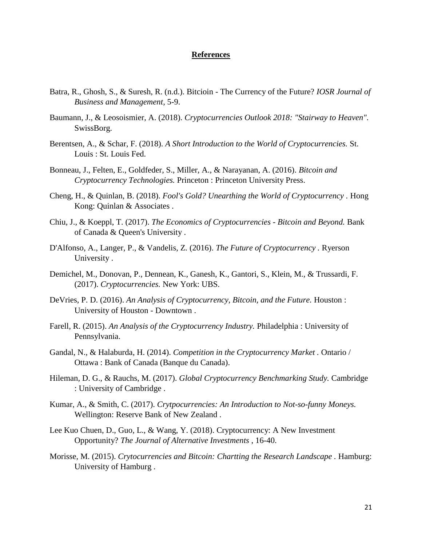#### **References**

- Batra, R., Ghosh, S., & Suresh, R. (n.d.). Bitcioin The Currency of the Future? *IOSR Journal of Business and Management*, 5-9.
- Baumann, J., & Leosoismier, A. (2018). *Cryptocurrencies Outlook 2018: "Stairway to Heaven".* SwissBorg.
- Berentsen, A., & Schar, F. (2018). *A Short Introduction to the World of Cryptocurrencies.* St. Louis : St. Louis Fed.
- Bonneau, J., Felten, E., Goldfeder, S., Miller, A., & Narayanan, A. (2016). *Bitcoin and Cryptocurrency Technologies.* Princeton : Princeton University Press.
- Cheng, H., & Quinlan, B. (2018). *Fool's Gold? Unearthing the World of Cryptocurrency .* Hong Kong: Quinlan & Associates .
- Chiu, J., & Koeppl, T. (2017). *The Economics of Cryptocurrencies - Bitcoin and Beyond.* Bank of Canada & Queen's University .
- D'Alfonso, A., Langer, P., & Vandelis, Z. (2016). *The Future of Cryptocurrency .* Ryerson University .
- Demichel, M., Donovan, P., Dennean, K., Ganesh, K., Gantori, S., Klein, M., & Trussardi, F. (2017). *Cryptocurrencies.* New York: UBS.
- DeVries, P. D. (2016). *An Analysis of Cryptocurrency, Bitcoin, and the Future.* Houston : University of Houston - Downtown .
- Farell, R. (2015). *An Analysis of the Cryptocurrency Industry.* Philadelphia : University of Pennsylvania.
- Gandal, N., & Halaburda, H. (2014). *Competition in the Cryptocurrency Market .* Ontario / Ottawa : Bank of Canada (Banque du Canada).
- Hileman, D. G., & Rauchs, M. (2017). *Global Cryptocurrency Benchmarking Study.* Cambridge : University of Cambridge .
- Kumar, A., & Smith, C. (2017). *Crytpocurrencies: An Introduction to Not-so-funny Moneys.* Wellington: Reserve Bank of New Zealand .
- Lee Kuo Chuen, D., Guo, L., & Wang, Y. (2018). Cryptocurrency: A New Investment Opportunity? *The Journal of Alternative Investments* , 16-40.
- Morisse, M. (2015). *Crytocurrencies and Bitcoin: Chartting the Research Landscape .* Hamburg: University of Hamburg .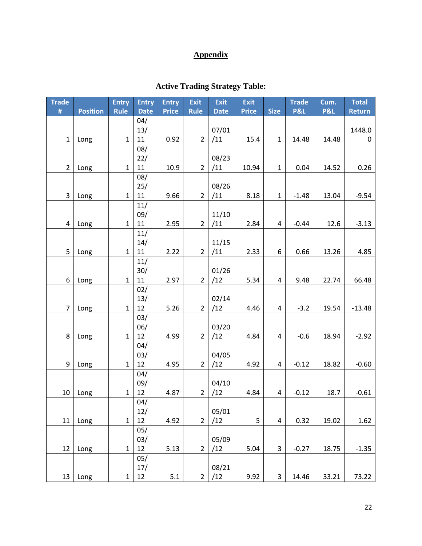# **Appendix**

| <b>Trade</b>   |                 | <b>Entry</b> | <b>Entry</b>  | <b>Entry</b> | <b>Exit</b>    | <b>Exit</b>  | <b>Exit</b>  |              | <b>Trade</b>   | Cum.           | <b>Total</b>  |
|----------------|-----------------|--------------|---------------|--------------|----------------|--------------|--------------|--------------|----------------|----------------|---------------|
| #              | <b>Position</b> | <b>Rule</b>  | <b>Date</b>   | <b>Price</b> | <b>Rule</b>    | <b>Date</b>  | <b>Price</b> | <b>Size</b>  | <b>P&amp;L</b> | <b>P&amp;L</b> | <b>Return</b> |
|                |                 |              | 04/           |              |                |              |              |              |                |                |               |
|                |                 |              | 13/           |              |                | 07/01        |              |              |                |                | 1448.0        |
| $\mathbf{1}$   | Long            | $\mathbf{1}$ | 11            | 0.92         | $\overline{2}$ | /11          | 15.4         | $\mathbf{1}$ | 14.48          | 14.48          | $\mathbf 0$   |
|                |                 |              | 08/           |              |                |              |              |              |                |                |               |
| $\overline{2}$ | Long            | $\mathbf{1}$ | 22/<br>$11\,$ | 10.9         | $\overline{2}$ | 08/23<br>/11 | 10.94        | $\mathbf 1$  | 0.04           | 14.52          | 0.26          |
|                |                 |              | 08/           |              |                |              |              |              |                |                |               |
|                |                 |              | 25/           |              |                | 08/26        |              |              |                |                |               |
| 3              | Long            | $\mathbf{1}$ | 11            | 9.66         | $\overline{2}$ | /11          | 8.18         | $\mathbf{1}$ | $-1.48$        | 13.04          | $-9.54$       |
|                |                 |              | 11/           |              |                |              |              |              |                |                |               |
|                |                 |              | 09/           |              |                | 11/10        |              |              |                |                |               |
| 4              | Long            | $\mathbf{1}$ | 11            | 2.95         | $\overline{2}$ | /11          | 2.84         | 4            | $-0.44$        | 12.6           | $-3.13$       |
|                |                 |              | 11/           |              |                |              |              |              |                |                |               |
|                |                 |              | 14/           |              |                | 11/15        |              |              |                |                |               |
| 5              | Long            | $\mathbf{1}$ | 11            | 2.22         | $\overline{2}$ | /11          | 2.33         | 6            | 0.66           | 13.26          | 4.85          |
|                |                 |              | 11/           |              |                |              |              |              |                |                |               |
|                |                 |              | 30/           |              |                | 01/26        |              |              |                |                |               |
| 6              | Long            | $\mathbf{1}$ | 11<br>02/     | 2.97         | $\overline{2}$ | /12          | 5.34         | 4            | 9.48           | 22.74          | 66.48         |
|                |                 |              | 13/           |              |                | 02/14        |              |              |                |                |               |
| $\overline{7}$ | Long            | $\mathbf{1}$ | 12            | 5.26         | $2^{\circ}$    | /12          | 4.46         | 4            | $-3.2$         | 19.54          | $-13.48$      |
|                |                 |              | 03/           |              |                |              |              |              |                |                |               |
|                |                 |              | 06/           |              |                | 03/20        |              |              |                |                |               |
| 8              | Long            | $\mathbf{1}$ | 12            | 4.99         | $\overline{2}$ | /12          | 4.84         | 4            | $-0.6$         | 18.94          | $-2.92$       |
|                |                 |              | 04/           |              |                |              |              |              |                |                |               |
|                |                 |              | 03/           |              |                | 04/05        |              |              |                |                |               |
| 9              | Long            | $\mathbf{1}$ | 12            | 4.95         | $\overline{2}$ | /12          | 4.92         | 4            | $-0.12$        | 18.82          | $-0.60$       |
|                |                 |              | 04/           |              |                |              |              |              |                |                |               |
|                |                 |              | 09/           |              |                | 04/10        |              |              |                |                |               |
| 10             | Long            | $\mathbf{1}$ | 12            | 4.87         | $\overline{2}$ | /12          | 4.84         | 4            | $-0.12$        | 18.7           | $-0.61$       |
|                |                 |              | 04/           |              |                |              |              |              |                |                |               |
| 11             | Long            | $\mathbf{1}$ | 12/<br>12     | 4.92         | $\overline{2}$ | 05/01<br>/12 | 5            | 4            | 0.32           | 19.02          | 1.62          |
|                |                 |              | 05/           |              |                |              |              |              |                |                |               |
|                |                 |              | 03/           |              |                | 05/09        |              |              |                |                |               |
| 12             | Long            | $\mathbf{1}$ | 12            | 5.13         | $\overline{2}$ | /12          | 5.04         | 3            | $-0.27$        | 18.75          | $-1.35$       |
|                |                 |              | 05/           |              |                |              |              |              |                |                |               |
|                |                 |              | 17/           |              |                | 08/21        |              |              |                |                |               |
| 13             | Long            | $\mathbf{1}$ | 12            | 5.1          | $\overline{2}$ | /12          | 9.92         | 3            | 14.46          | 33.21          | 73.22         |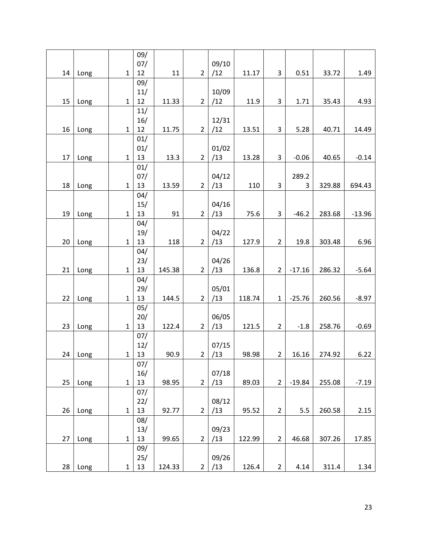|    |      |              | 09/ |        |                |       |        |                |          |        |          |
|----|------|--------------|-----|--------|----------------|-------|--------|----------------|----------|--------|----------|
|    |      |              | 07/ |        |                | 09/10 |        |                |          |        |          |
| 14 | Long | $\mathbf{1}$ | 12  | 11     | $\overline{2}$ | /12   | 11.17  | 3              | 0.51     | 33.72  | 1.49     |
|    |      |              | 09/ |        |                |       |        |                |          |        |          |
|    |      |              | 11/ |        |                | 10/09 |        |                |          |        |          |
| 15 | Long | $\mathbf{1}$ | 12  | 11.33  | $\overline{2}$ | /12   | 11.9   | 3              | 1.71     | 35.43  | 4.93     |
|    |      |              | 11/ |        |                |       |        |                |          |        |          |
|    |      |              | 16/ |        |                | 12/31 |        |                |          |        |          |
| 16 | Long | $\mathbf{1}$ | 12  | 11.75  | $\overline{2}$ | /12   | 13.51  | 3              | 5.28     | 40.71  | 14.49    |
|    |      |              | 01/ |        |                |       |        |                |          |        |          |
|    |      |              | 01/ |        |                | 01/02 |        |                |          |        |          |
| 17 | Long | $\mathbf{1}$ | 13  | 13.3   | $\overline{2}$ | /13   | 13.28  | 3              | $-0.06$  | 40.65  | $-0.14$  |
|    |      |              | 01/ |        |                |       |        |                |          |        |          |
|    |      |              | 07/ |        |                | 04/12 |        |                | 289.2    |        |          |
| 18 | Long | $\mathbf{1}$ | 13  | 13.59  | $\overline{2}$ | /13   | 110    | 3              | 3        | 329.88 | 694.43   |
|    |      |              | 04/ |        |                |       |        |                |          |        |          |
|    |      |              | 15/ |        |                | 04/16 |        |                |          |        |          |
| 19 | Long | $\mathbf{1}$ | 13  | 91     | $\overline{2}$ | /13   | 75.6   | 3              | $-46.2$  | 283.68 | $-13.96$ |
|    |      |              | 04/ |        |                |       |        |                |          |        |          |
|    |      |              | 19/ |        |                | 04/22 |        |                |          |        |          |
| 20 | Long | $\mathbf{1}$ | 13  | 118    | $\overline{2}$ | /13   | 127.9  | $\overline{2}$ | 19.8     | 303.48 | 6.96     |
|    |      |              | 04/ |        |                |       |        |                |          |        |          |
|    |      |              | 23/ |        |                | 04/26 |        |                |          |        |          |
| 21 | Long | $\mathbf{1}$ | 13  | 145.38 | $\overline{2}$ | /13   | 136.8  | $\overline{2}$ | $-17.16$ | 286.32 | $-5.64$  |
|    |      |              | 04/ |        |                |       |        |                |          |        |          |
|    |      |              | 29/ |        |                | 05/01 |        |                |          |        |          |
| 22 | Long | $\mathbf{1}$ | 13  | 144.5  | $\overline{2}$ | /13   | 118.74 | $\mathbf{1}$   | $-25.76$ | 260.56 | $-8.97$  |
|    |      |              | 05/ |        |                |       |        |                |          |        |          |
|    |      |              | 20/ |        |                | 06/05 |        |                |          |        |          |
| 23 | Long | $\mathbf{1}$ | 13  | 122.4  | 2              | /13   | 121.5  | $\overline{2}$ | $-1.8$   | 258.76 | $-0.69$  |
|    |      |              | 07/ |        |                |       |        |                |          |        |          |
|    |      |              | 12/ |        |                | 07/15 |        |                |          |        |          |
| 24 | Long | 1            | 13  | 90.9   | 2              | /13   | 98.98  | $\overline{2}$ | 16.16    | 274.92 | 6.22     |
|    |      |              | 07/ |        |                |       |        |                |          |        |          |
|    |      |              | 16/ |        |                | 07/18 |        |                |          |        |          |
| 25 | Long | $\mathbf{1}$ | 13  | 98.95  | $\overline{2}$ | /13   | 89.03  | $\overline{2}$ | $-19.84$ | 255.08 | $-7.19$  |
|    |      |              | 07/ |        |                |       |        |                |          |        |          |
|    |      |              | 22/ |        |                | 08/12 |        |                |          |        |          |
| 26 | Long | $\mathbf{1}$ | 13  | 92.77  | $\overline{2}$ | /13   | 95.52  | $\overline{2}$ | 5.5      | 260.58 | 2.15     |
|    |      |              | 08/ |        |                |       |        |                |          |        |          |
|    |      |              | 13/ |        |                | 09/23 |        |                |          |        |          |
| 27 | Long | $\mathbf{1}$ | 13  | 99.65  | $\overline{2}$ | /13   | 122.99 | $\overline{2}$ | 46.68    | 307.26 | 17.85    |
|    |      |              | 09/ |        |                |       |        |                |          |        |          |
|    |      |              | 25/ |        |                | 09/26 |        |                |          |        |          |
| 28 | Long | 1            | 13  | 124.33 | $\mathbf 2$    | /13   | 126.4  | $\overline{2}$ | 4.14     | 311.4  | 1.34     |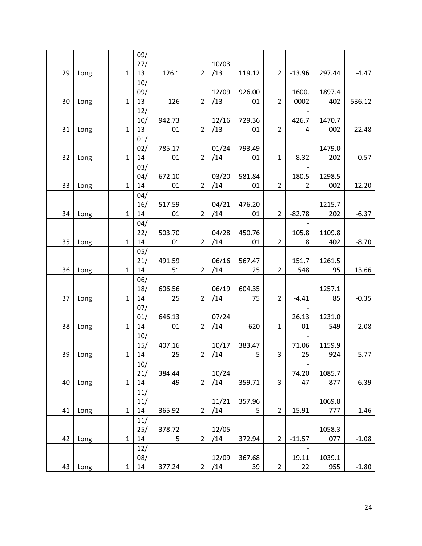|    |      |              | 09/        |              |                |       |                       |                |                                   |               |          |
|----|------|--------------|------------|--------------|----------------|-------|-----------------------|----------------|-----------------------------------|---------------|----------|
|    |      |              | 27/        |              |                | 10/03 |                       |                |                                   |               |          |
| 29 | Long | $\mathbf 1$  | 13         | 126.1        | $\overline{2}$ | /13   | 119.12                | $2^{\circ}$    | $-13.96$                          | 297.44        | $-4.47$  |
|    |      |              | 10/        |              |                |       |                       |                |                                   |               |          |
|    |      |              | 09/        |              |                | 12/09 | 926.00                |                | 1600.                             | 1897.4        |          |
| 30 | Long | $\mathbf{1}$ | 13         | 126          | $\overline{2}$ | /13   | 01                    | $\overline{2}$ | 0002                              | 402           | 536.12   |
|    |      |              | 12/        |              |                |       |                       |                |                                   |               |          |
|    |      |              | 10/        | 942.73       |                | 12/16 | 729.36                |                | 426.7                             | 1470.7        |          |
| 31 | Long | $\mathbf{1}$ | 13         | 01           | 2 <sup>1</sup> | /13   | 01                    | $\overline{2}$ | 4                                 | 002           | $-22.48$ |
|    |      |              | 01/        |              |                |       |                       |                |                                   |               |          |
|    |      |              | 02/        | 785.17       |                | 01/24 | 793.49                |                |                                   | 1479.0        |          |
| 32 | Long | $\mathbf{1}$ | 14         | 01           | $2^{\circ}$    | /14   | 01                    | $\mathbf{1}$   | 8.32                              | 202           | 0.57     |
|    |      |              | 03/        |              |                |       |                       |                |                                   |               |          |
|    |      |              | 04/        | 672.10       |                | 03/20 | 581.84                |                | 180.5                             | 1298.5        |          |
| 33 | Long | $\mathbf{1}$ | 14         | 01           | $\overline{2}$ | /14   | 01                    | $\overline{2}$ | $\overline{2}$                    | 002           | $-12.20$ |
|    |      |              | 04/        |              |                |       |                       |                |                                   |               |          |
|    |      |              | 16/        | 517.59       |                | 04/21 | 476.20                |                |                                   | 1215.7        |          |
| 34 | Long | $\mathbf{1}$ | 14         | 01           | $2^{\circ}$    | /14   | 01                    | $\overline{2}$ | $-82.78$                          | 202           | $-6.37$  |
|    |      |              | 04/        |              |                |       |                       |                |                                   |               |          |
|    |      |              | 22/        | 503.70       | $\overline{2}$ | 04/28 | 450.76                |                | 105.8                             | 1109.8        |          |
| 35 | Long | $\mathbf{1}$ | 14         | 01           |                | /14   | 01                    | $\overline{2}$ | 8                                 | 402           | $-8.70$  |
|    |      |              | 05/        |              |                |       |                       |                |                                   |               |          |
|    |      |              | 21/        | 491.59       |                | 06/16 | 567.47                |                | 151.7                             | 1261.5        |          |
| 36 | Long | $\mathbf{1}$ | 14         | 51           | $2^{\circ}$    | /14   | 25                    | $\overline{2}$ | 548                               | 95            | 13.66    |
|    |      |              | 06/        |              |                |       |                       |                |                                   |               |          |
|    |      |              | 18/        | 606.56       |                | 06/19 | 604.35                |                |                                   | 1257.1        |          |
| 37 | Long | $\mathbf{1}$ | 14         | 25           | $\overline{2}$ | /14   | 75                    | $\overline{2}$ | $-4.41$                           | 85            | $-0.35$  |
|    |      |              | 07/        |              |                | 07/24 |                       |                |                                   |               |          |
|    |      | $\mathbf{1}$ | 01/<br>14  | 646.13       | $\overline{2}$ |       | 620                   | $\mathbf{1}$   | 26.13                             | 1231.0        | $-2.08$  |
| 38 | Long |              |            | 01           |                | /14   |                       |                | 01                                | 549           |          |
|    |      |              | 10/        |              |                |       |                       |                |                                   |               |          |
| 39 | Long | $\mathbf{1}$ | 15/<br>14  | 407.16<br>25 | $\overline{2}$ | 10/17 | 383.47<br>$\mathsf S$ | $\overline{3}$ | 71.06<br>25                       | 1159.9<br>924 | $-5.77$  |
|    |      |              |            |              |                | /14   |                       |                |                                   |               |          |
|    |      |              | 10/<br>21/ | 384.44       |                | 10/24 |                       |                | $\overline{\phantom{m}}$<br>74.20 | 1085.7        |          |
| 40 | Long | $\mathbf{1}$ | 14         | 49           | $\overline{2}$ | /14   | 359.71                | 3              | 47                                | 877           | $-6.39$  |
|    |      |              | 11/        |              |                |       |                       |                |                                   |               |          |
|    |      |              | 11/        |              |                | 11/21 | 357.96                |                |                                   | 1069.8        |          |
| 41 | Long | $\mathbf{1}$ | 14         | 365.92       | $\overline{2}$ | /14   | 5                     | $\overline{2}$ | $-15.91$                          | 777           | $-1.46$  |
|    |      |              | 11/        |              |                |       |                       |                |                                   |               |          |
|    |      |              | 25/        | 378.72       |                | 12/05 |                       |                |                                   | 1058.3        |          |
| 42 | Long | $\mathbf{1}$ | 14         | 5            | $\overline{2}$ | /14   | 372.94                | $\overline{2}$ | $-11.57$                          | 077           | $-1.08$  |
|    |      |              | 12/        |              |                |       |                       |                |                                   |               |          |
|    |      |              | 08/        |              |                | 12/09 | 367.68                |                | 19.11                             | 1039.1        |          |
| 43 | Long | 1            | $14\,$     | 377.24       | $\overline{2}$ | /14   | 39                    | $\overline{2}$ | 22                                | 955           | $-1.80$  |
|    |      |              |            |              |                |       |                       |                |                                   |               |          |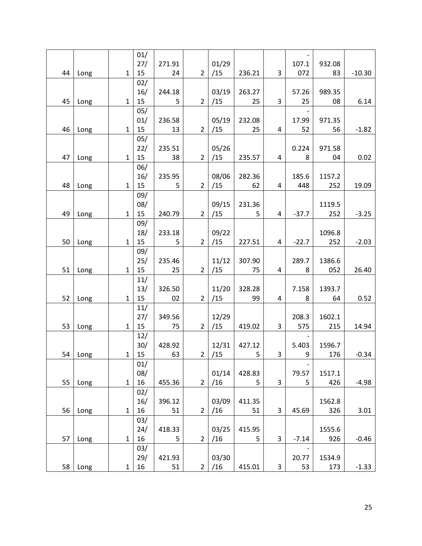|    |      |              | 01/ |        |                |       |        |   |         |        |          |
|----|------|--------------|-----|--------|----------------|-------|--------|---|---------|--------|----------|
|    |      |              | 27/ | 271.91 |                | 01/29 |        |   | 107.1   | 932.08 |          |
| 44 | Long | $\mathbf{1}$ | 15  | 24     | $\overline{2}$ | /15   | 236.21 | 3 | 072     | 83     | $-10.30$ |
|    |      |              | 02/ |        |                |       |        |   |         |        |          |
|    |      |              |     |        |                |       |        |   |         |        |          |
|    |      |              | 16/ | 244.18 |                | 03/19 | 263.27 |   | 57.26   | 989.35 |          |
| 45 | Long | $\mathbf{1}$ | 15  | 5      | $\overline{2}$ | /15   | 25     | 3 | 25      | 08     | 6.14     |
|    |      |              | 05/ |        |                |       |        |   |         |        |          |
|    |      |              | 01/ | 236.58 |                | 05/19 | 232.08 |   | 17.99   | 971.35 |          |
| 46 | Long | $\mathbf{1}$ | 15  | 13     | $2^{\circ}$    | /15   | 25     | 4 | 52      | 56     | $-1.82$  |
|    |      |              | 05/ |        |                |       |        |   |         |        |          |
|    |      |              | 22/ | 235.51 |                | 05/26 |        |   | 0.224   | 971.58 |          |
| 47 | Long | 1            | 15  | 38     | $\overline{2}$ | /15   | 235.57 | 4 | 8       | 04     | 0.02     |
|    |      |              | 06/ |        |                |       |        |   |         |        |          |
|    |      |              | 16/ | 235.95 |                | 08/06 | 282.36 |   | 185.6   | 1157.2 |          |
| 48 | Long | 1            | 15  | 5      | $\overline{2}$ | /15   | 62     | 4 | 448     | 252    | 19.09    |
|    |      |              | 09/ |        |                |       |        |   |         |        |          |
|    |      |              | 08/ |        |                | 09/15 | 231.36 |   |         | 1119.5 |          |
| 49 | Long | $\mathbf{1}$ | 15  | 240.79 | $\overline{2}$ | /15   | 5      | 4 | $-37.7$ | 252    | $-3.25$  |
|    |      |              | 09/ |        |                |       |        |   |         |        |          |
|    |      |              | 18/ | 233.18 |                | 09/22 |        |   |         | 1096.8 |          |
| 50 | Long | $\mathbf{1}$ | 15  | 5      | $\overline{2}$ | /15   | 227.51 | 4 | $-22.7$ | 252    | $-2.03$  |
|    |      |              | 09/ |        |                |       |        |   |         |        |          |
|    |      |              |     |        |                | 11/12 | 307.90 |   | 289.7   | 1386.6 |          |
|    |      |              | 25/ | 235.46 |                |       |        |   |         |        |          |
| 51 | Long | $\mathbf{1}$ | 15  | 25     | $\overline{2}$ | /15   | 75     | 4 | 8       | 052    | 26.40    |
|    |      |              | 11/ |        |                |       |        |   |         |        |          |
|    |      |              | 13/ | 326.50 |                | 11/20 | 328.28 |   | 7.158   | 1393.7 |          |
| 52 | Long | $\mathbf{1}$ | 15  | 02     | $\overline{2}$ | /15   | 99     | 4 | 8       | 64     | 0.52     |
|    |      |              | 11/ |        |                |       |        |   |         |        |          |
|    |      |              | 27/ | 349.56 |                | 12/29 |        |   | 208.3   | 1602.1 |          |
| 53 | Long | 1            | 15  | 75     | $\overline{2}$ | /15   | 419.02 | 3 | 575     | 215    | 14.94    |
|    |      |              | 12/ |        |                |       |        |   |         |        |          |
|    |      |              | 30/ | 428.92 |                | 12/31 | 427.12 |   | 5.403   | 1596.7 |          |
| 54 | Long | 1            | 15  | 63     | $\overline{2}$ | /15   | 5      | 3 | 9       | 176    | $-0.34$  |
|    |      |              | 01/ |        |                |       |        |   |         |        |          |
|    |      |              | 08/ |        |                | 01/14 | 428.83 |   | 79.57   | 1517.1 |          |
| 55 | Long | $\mathbf{1}$ | 16  | 455.36 | $\overline{2}$ | /16   | 5      | 3 | 5       | 426    | $-4.98$  |
|    |      |              | 02/ |        |                |       |        |   |         |        |          |
|    |      |              | 16/ | 396.12 |                | 03/09 | 411.35 |   |         | 1562.8 |          |
| 56 | Long | $\mathbf{1}$ | 16  | 51     | $\overline{2}$ | /16   | 51     | 3 | 45.69   | 326    | 3.01     |
|    |      |              | 03/ |        |                |       |        |   |         |        |          |
|    |      |              | 24/ | 418.33 |                | 03/25 | 415.95 |   |         | 1555.6 |          |
| 57 |      | $\mathbf{1}$ | 16  |        | $\overline{2}$ | /16   | 5      | 3 | $-7.14$ | 926    | $-0.46$  |
|    | Long |              |     | 5      |                |       |        |   |         |        |          |
|    |      |              | 03/ |        |                |       |        |   |         |        |          |
|    |      |              | 29/ | 421.93 |                | 03/30 |        |   | 20.77   | 1534.9 |          |
| 58 | Long | $\mathbf{1}$ | 16  | 51     | $\overline{2}$ | /16   | 415.01 | 3 | 53      | 173    | $-1.33$  |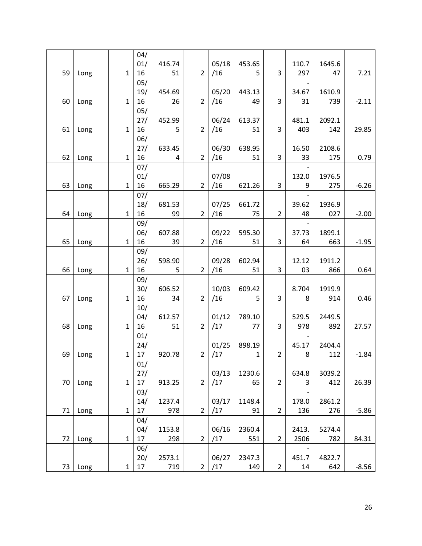|    |      |              | 04/    |        |                |       |             |                |       |        |         |
|----|------|--------------|--------|--------|----------------|-------|-------------|----------------|-------|--------|---------|
|    |      |              | 01/    | 416.74 |                | 05/18 | 453.65      |                | 110.7 | 1645.6 |         |
| 59 | Long | $\mathbf{1}$ | 16     | 51     | $\overline{2}$ | /16   | 5           | 3              | 297   | 47     | 7.21    |
|    |      |              | 05/    |        |                |       |             |                |       |        |         |
|    |      |              | 19/    |        |                | 05/20 | 443.13      |                |       |        |         |
|    |      |              |        | 454.69 |                |       |             |                | 34.67 | 1610.9 |         |
| 60 | Long | $\mathbf{1}$ | 16     | 26     | $\overline{2}$ | /16   | 49          | 3              | 31    | 739    | $-2.11$ |
|    |      |              | 05/    |        |                |       |             |                |       |        |         |
|    |      |              | 27/    | 452.99 |                | 06/24 | 613.37      |                | 481.1 | 2092.1 |         |
| 61 | Long | $\mathbf{1}$ | 16     | 5      | $\overline{2}$ | /16   | 51          | 3              | 403   | 142    | 29.85   |
|    |      |              | 06/    |        |                |       |             |                |       |        |         |
|    |      |              | 27/    | 633.45 |                | 06/30 | 638.95      |                | 16.50 | 2108.6 |         |
| 62 | Long | $\mathbf{1}$ | 16     | 4      | $\overline{2}$ | /16   | 51          | 3              | 33    | 175    | 0.79    |
|    |      |              | 07/    |        |                |       |             |                |       |        |         |
|    |      |              | 01/    |        |                | 07/08 |             |                | 132.0 | 1976.5 |         |
| 63 | Long | 1            | 16     | 665.29 | $\overline{2}$ | /16   | 621.26      | 3              | 9     | 275    | $-6.26$ |
|    |      |              | 07/    |        |                |       |             |                |       |        |         |
|    |      |              | 18/    | 681.53 |                | 07/25 | 661.72      |                | 39.62 | 1936.9 |         |
| 64 | Long | $\mathbf{1}$ | 16     | 99     | $\overline{2}$ | /16   | 75          | $\overline{2}$ | 48    | 027    | $-2.00$ |
|    |      |              | 09/    |        |                |       |             |                |       |        |         |
|    |      |              | 06/    | 607.88 |                | 09/22 | 595.30      |                | 37.73 | 1899.1 |         |
| 65 | Long | $\mathbf{1}$ | 16     | 39     | $\overline{2}$ | /16   | 51          | 3              | 64    | 663    | $-1.95$ |
|    |      |              |        |        |                |       |             |                |       |        |         |
|    |      |              | 09/    |        |                |       |             |                |       |        |         |
|    |      |              | 26/    | 598.90 |                | 09/28 | 602.94      |                | 12.12 | 1911.2 |         |
| 66 | Long | $\mathbf{1}$ | 16     | 5      | $\overline{2}$ | /16   | 51          | 3              | 03    | 866    | 0.64    |
|    |      |              | 09/    |        |                |       |             |                |       |        |         |
|    |      |              | 30/    | 606.52 |                | 10/03 | 609.42      |                | 8.704 | 1919.9 |         |
| 67 | Long | $\mathbf{1}$ | 16     | 34     | $\overline{2}$ | /16   | 5           | 3              | 8     | 914    | 0.46    |
|    |      |              | 10/    |        |                |       |             |                |       |        |         |
|    |      |              | 04/    | 612.57 |                | 01/12 | 789.10      |                | 529.5 | 2449.5 |         |
| 68 | Long | $\mathbf{1}$ | 16     | 51     | 2              | /17   | 77          | 3              | 978   | 892    | 27.57   |
|    |      |              | 01/    |        |                |       |             |                |       |        |         |
|    |      |              | 24/    |        |                | 01/25 | 898.19      |                | 45.17 | 2404.4 |         |
| 69 | Long | $\mathbf 1$  | 17     | 920.78 | $\overline{2}$ | /17   | $\mathbf 1$ | $\overline{2}$ | 8     | 112    | $-1.84$ |
|    |      |              | 01/    |        |                |       |             |                |       |        |         |
|    |      |              | 27/    |        |                | 03/13 | 1230.6      |                | 634.8 | 3039.2 |         |
| 70 | Long | $\mathbf{1}$ | 17     | 913.25 | $\overline{2}$ | /17   | 65          | $\overline{2}$ | 3     | 412    | 26.39   |
|    |      |              | 03/    |        |                |       |             |                |       |        |         |
|    |      |              |        | 1237.4 |                | 03/17 | 1148.4      |                |       |        |         |
|    |      |              | 14/    |        |                |       |             |                | 178.0 | 2861.2 |         |
| 71 | Long | $\mathbf{1}$ | 17     | 978    | $\overline{2}$ | /17   | 91          | $\overline{2}$ | 136   | 276    | $-5.86$ |
|    |      |              | 04/    |        |                |       |             |                |       |        |         |
|    |      |              | 04/    | 1153.8 |                | 06/16 | 2360.4      |                | 2413. | 5274.4 |         |
| 72 | Long | $\mathbf{1}$ | 17     | 298    | $\overline{2}$ | /17   | 551         | $\overline{2}$ | 2506  | 782    | 84.31   |
|    |      |              | 06/    |        |                |       |             |                |       |        |         |
|    |      |              | 20/    | 2573.1 |                | 06/27 | 2347.3      |                | 451.7 | 4822.7 |         |
| 73 | Long | $\mathbf{1}$ | $17\,$ | 719    | $\overline{2}$ | /17   | 149         | $\overline{2}$ | 14    | 642    | $-8.56$ |